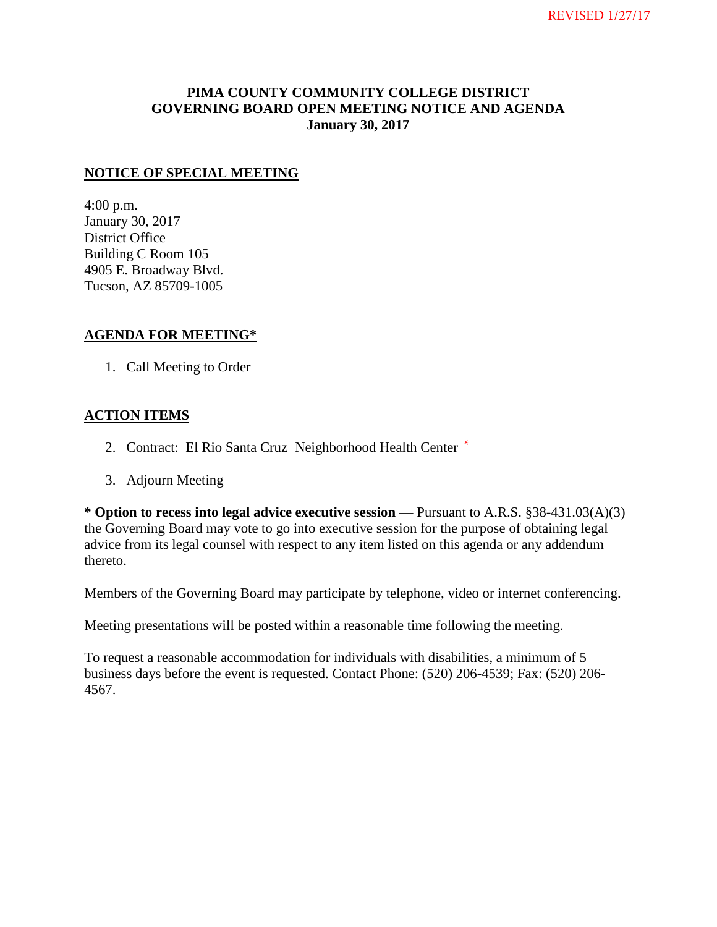### **PIMA COUNTY COMMUNITY COLLEGE DISTRICT GOVERNING BOARD OPEN MEETING NOTICE AND AGENDA January 30, 2017**

### **NOTICE OF SPECIAL MEETING**

4:00 p.m. January 30, 2017 District Office Building C Room 105 4905 E. Broadway Blvd. Tucson, AZ 85709-1005

### **AGENDA FOR MEETING\***

1. Call Meeting to Order

### **ACTION ITEMS**

- 2. Contract: El Rio Santa Cruz Neighborhood Health Center \*
- 3. Adjourn Meeting

**\* Option to recess into legal advice executive session** — Pursuant to A.R.S. §38-431.03(A)(3) the Governing Board may vote to go into executive session for the purpose of obtaining legal advice from its legal counsel with respect to any item listed on this agenda or any addendum thereto.

Members of the Governing Board may participate by telephone, video or internet conferencing.

Meeting presentations will be posted within a reasonable time following the meeting.

To request a reasonable accommodation for individuals with disabilities, a minimum of 5 business days before the event is requested. Contact Phone: (520) 206-4539; Fax: (520) 206- 4567.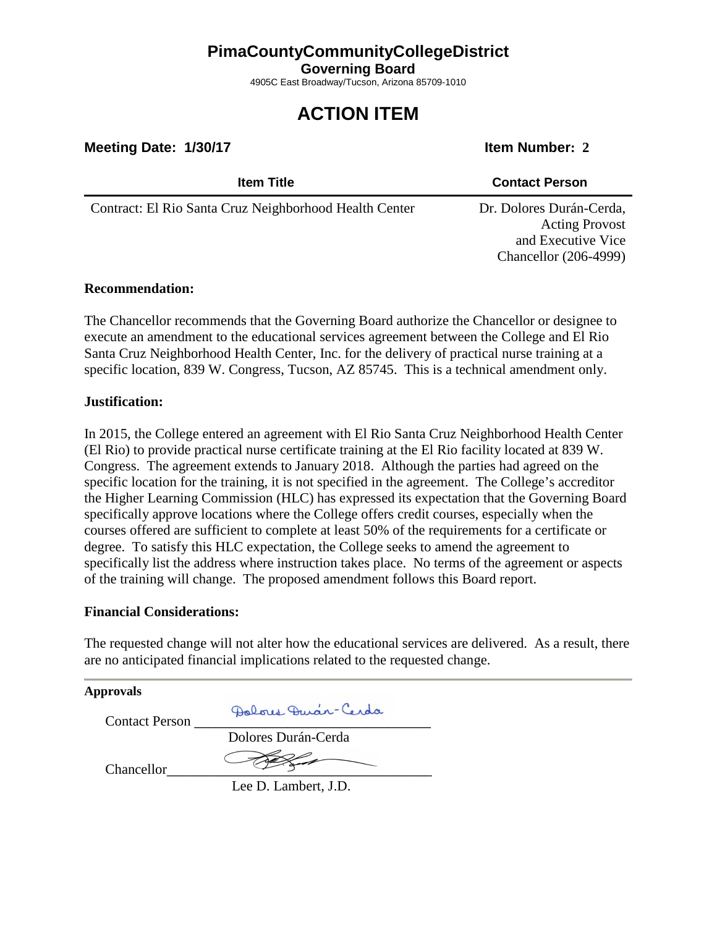## **PimaCountyCommunityCollegeDistrict**

**Governing Board**

4905C East Broadway/Tucson, Arizona 85709-1010

# **ACTION ITEM**

**Meeting Date: 1/30/17 Item Number: 2** 

| <b>Item Title</b>                                      | <b>Contact Person</b>                                                                                   |
|--------------------------------------------------------|---------------------------------------------------------------------------------------------------------|
| Contract: El Rio Santa Cruz Neighborhood Health Center | Dr. Dolores Durán-Cerda,<br><b>Acting Provost</b><br>and Executive Vice<br><b>Chancellor</b> (206-4999) |

### **Recommendation:**

The Chancellor recommends that the Governing Board authorize the Chancellor or designee to execute an amendment to the educational services agreement between the College and El Rio Santa Cruz Neighborhood Health Center, Inc. for the delivery of practical nurse training at a specific location, 839 W. Congress, Tucson, AZ 85745. This is a technical amendment only.

### **Justification:**

In 2015, the College entered an agreement with El Rio Santa Cruz Neighborhood Health Center (El Rio) to provide practical nurse certificate training at the El Rio facility located at 839 W. Congress. The agreement extends to January 2018. Although the parties had agreed on the specific location for the training, it is not specified in the agreement. The College's accreditor the Higher Learning Commission (HLC) has expressed its expectation that the Governing Board specifically approve locations where the College offers credit courses, especially when the courses offered are sufficient to complete at least 50% of the requirements for a certificate or degree. To satisfy this HLC expectation, the College seeks to amend the agreement to specifically list the address where instruction takes place. No terms of the agreement or aspects of the training will change. The proposed amendment follows this Board report.

### **Financial Considerations:**

The requested change will not alter how the educational services are delivered. As a result, there are no anticipated financial implications related to the requested change.

| Approvals             |                      |
|-----------------------|----------------------|
| <b>Contact Person</b> | Polous Duar-Cerda    |
|                       | Dolores Durán-Cerda  |
| Chancellor            |                      |
|                       | Lee D. Lambert, J.D. |